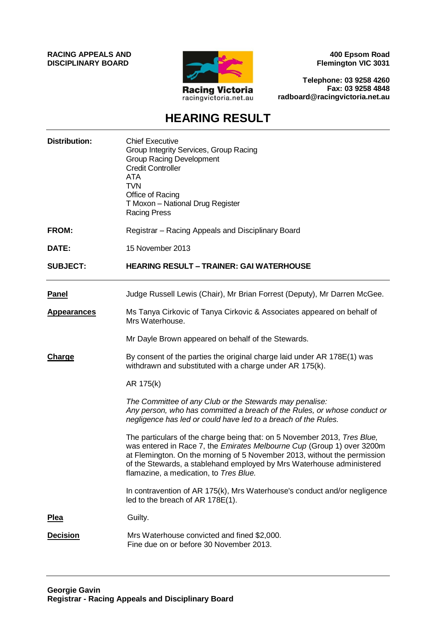**RACING APPEALS AND DISCIPLINARY BOARD**



**400 Epsom Road Flemington VIC 3031**

**Telephone: 03 9258 4260 Fax: 03 9258 4848 radboard@racingvictoria.net.au**

# **HEARING RESULT**

| <b>Distribution:</b> | <b>Chief Executive</b><br>Group Integrity Services, Group Racing<br><b>Group Racing Development</b><br><b>Credit Controller</b><br><b>ATA</b><br><b>TVN</b><br>Office of Racing<br>T Moxon - National Drug Register<br><b>Racing Press</b>                                                                                                        |
|----------------------|---------------------------------------------------------------------------------------------------------------------------------------------------------------------------------------------------------------------------------------------------------------------------------------------------------------------------------------------------|
| FROM:                | Registrar - Racing Appeals and Disciplinary Board                                                                                                                                                                                                                                                                                                 |
| DATE:                | 15 November 2013                                                                                                                                                                                                                                                                                                                                  |
| <b>SUBJECT:</b>      | <b>HEARING RESULT - TRAINER: GAI WATERHOUSE</b>                                                                                                                                                                                                                                                                                                   |
| <b>Panel</b>         | Judge Russell Lewis (Chair), Mr Brian Forrest (Deputy), Mr Darren McGee.                                                                                                                                                                                                                                                                          |
| <b>Appearances</b>   | Ms Tanya Cirkovic of Tanya Cirkovic & Associates appeared on behalf of<br>Mrs Waterhouse.                                                                                                                                                                                                                                                         |
|                      | Mr Dayle Brown appeared on behalf of the Stewards.                                                                                                                                                                                                                                                                                                |
| <b>Charge</b>        | By consent of the parties the original charge laid under AR 178E(1) was<br>withdrawn and substituted with a charge under AR 175(k).                                                                                                                                                                                                               |
|                      | AR 175(k)                                                                                                                                                                                                                                                                                                                                         |
|                      | The Committee of any Club or the Stewards may penalise:<br>Any person, who has committed a breach of the Rules, or whose conduct or<br>negligence has led or could have led to a breach of the Rules.                                                                                                                                             |
|                      | The particulars of the charge being that: on 5 November 2013, Tres Blue,<br>was entered in Race 7, the Emirates Melbourne Cup (Group 1) over 3200m<br>at Flemington. On the morning of 5 November 2013, without the permission<br>of the Stewards, a stablehand employed by Mrs Waterhouse administered<br>flamazine, a medication, to Tres Blue. |
|                      | In contravention of AR 175(k), Mrs Waterhouse's conduct and/or negligence<br>led to the breach of AR 178E(1).                                                                                                                                                                                                                                     |
| <b>Plea</b>          | Guilty.                                                                                                                                                                                                                                                                                                                                           |
| <b>Decision</b>      | Mrs Waterhouse convicted and fined \$2,000.<br>Fine due on or before 30 November 2013.                                                                                                                                                                                                                                                            |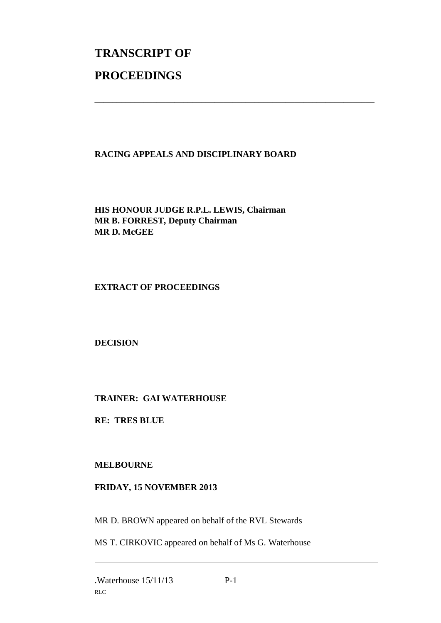# **TRANSCRIPT OF PROCEEDINGS**

# **RACING APPEALS AND DISCIPLINARY BOARD**

\_\_\_\_\_\_\_\_\_\_\_\_\_\_\_\_\_\_\_\_\_\_\_\_\_\_\_\_\_\_\_\_\_\_\_\_\_\_\_\_\_\_\_\_\_\_\_\_\_\_\_\_\_\_\_\_\_\_\_\_\_\_\_

**HIS HONOUR JUDGE R.P.L. LEWIS, Chairman MR B. FORREST, Deputy Chairman MR D. McGEE**

#### **EXTRACT OF PROCEEDINGS**

**DECISION**

## **TRAINER: GAI WATERHOUSE**

**RE: TRES BLUE**

## **MELBOURNE**

#### **FRIDAY, 15 NOVEMBER 2013**

MR D. BROWN appeared on behalf of the RVL Stewards

MS T. CIRKOVIC appeared on behalf of Ms G. Waterhouse